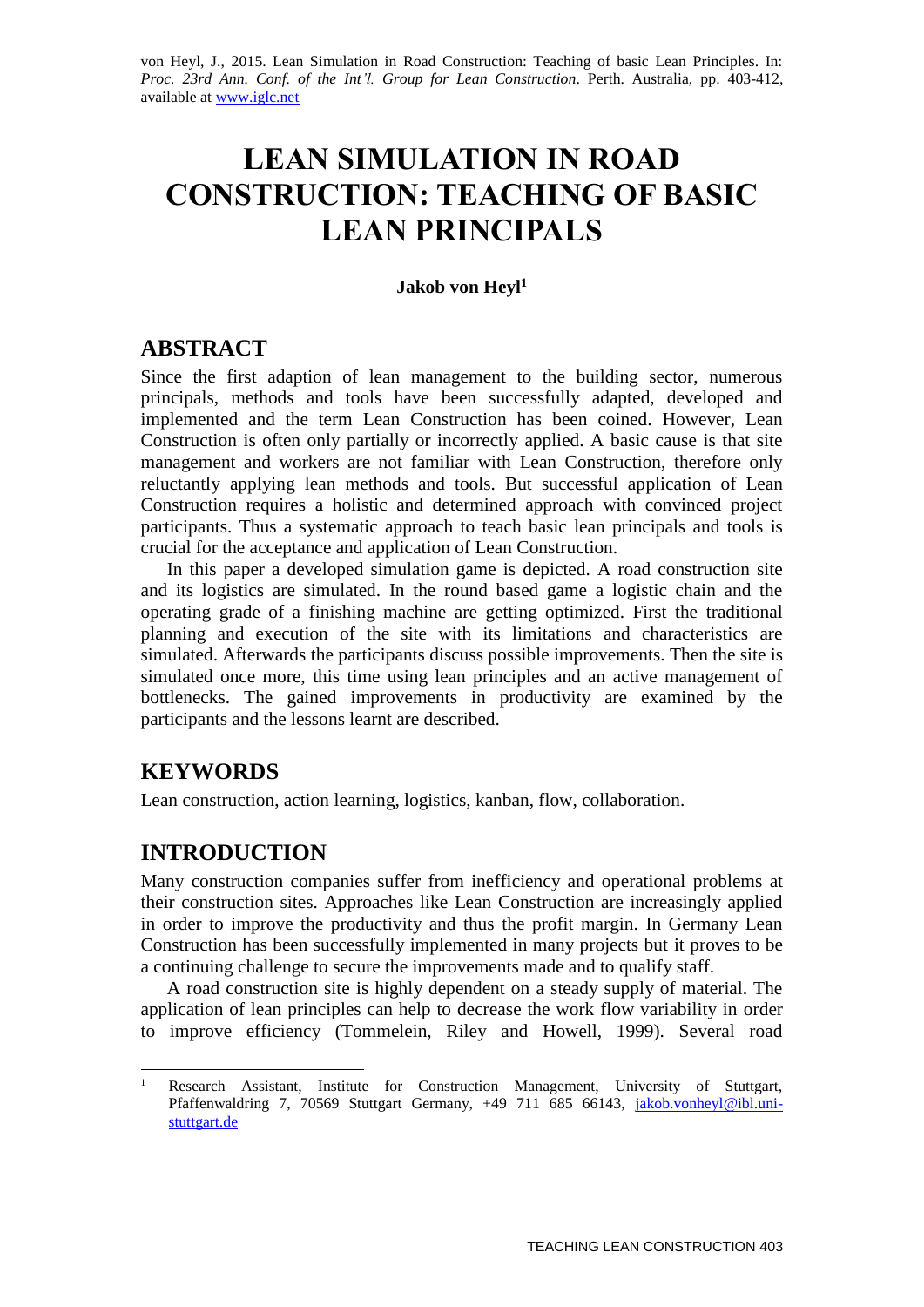von Heyl, J., 2015. Lean Simulation in Road Construction: Teaching of basic Lean Principles. In: *Proc. 23rd Ann. Conf. of the Int'l. Group for Lean Construction*. Perth. Australia, pp. 403-412, available at [www.iglc.net](http://www.iglc.net/)

# **LEAN SIMULATION IN ROAD CONSTRUCTION: TEACHING OF BASIC LEAN PRINCIPALS**

#### **Jakob von Heyl<sup>1</sup>**

### **ABSTRACT**

Since the first adaption of lean management to the building sector, numerous principals, methods and tools have been successfully adapted, developed and implemented and the term Lean Construction has been coined. However, Lean Construction is often only partially or incorrectly applied. A basic cause is that site management and workers are not familiar with Lean Construction, therefore only reluctantly applying lean methods and tools. But successful application of Lean Construction requires a holistic and determined approach with convinced project participants. Thus a systematic approach to teach basic lean principals and tools is crucial for the acceptance and application of Lean Construction.

In this paper a developed simulation game is depicted. A road construction site and its logistics are simulated. In the round based game a logistic chain and the operating grade of a finishing machine are getting optimized. First the traditional planning and execution of the site with its limitations and characteristics are simulated. Afterwards the participants discuss possible improvements. Then the site is simulated once more, this time using lean principles and an active management of bottlenecks. The gained improvements in productivity are examined by the participants and the lessons learnt are described.

# **KEYWORDS**

Lean construction, action learning, logistics, kanban, flow, collaboration.

# **INTRODUCTION**

Many construction companies suffer from inefficiency and operational problems at their construction sites. Approaches like Lean Construction are increasingly applied in order to improve the productivity and thus the profit margin. In Germany Lean Construction has been successfully implemented in many projects but it proves to be a continuing challenge to secure the improvements made and to qualify staff.

A road construction site is highly dependent on a steady supply of material. The application of lean principles can help to decrease the work flow variability in order to improve efficiency (Tommelein, Riley and Howell, 1999). Several road

 $\mathbf{1}$ <sup>1</sup> Research Assistant, Institute for Construction Management, University of Stuttgart, Pfaffenwaldring 7, 70569 Stuttgart Germany, +49 711 685 66143, [jakob.vonheyl@ibl.uni](mailto:jakob.vonheyl@ibl.uni-stuttgart.de)[stuttgart.de](mailto:jakob.vonheyl@ibl.uni-stuttgart.de)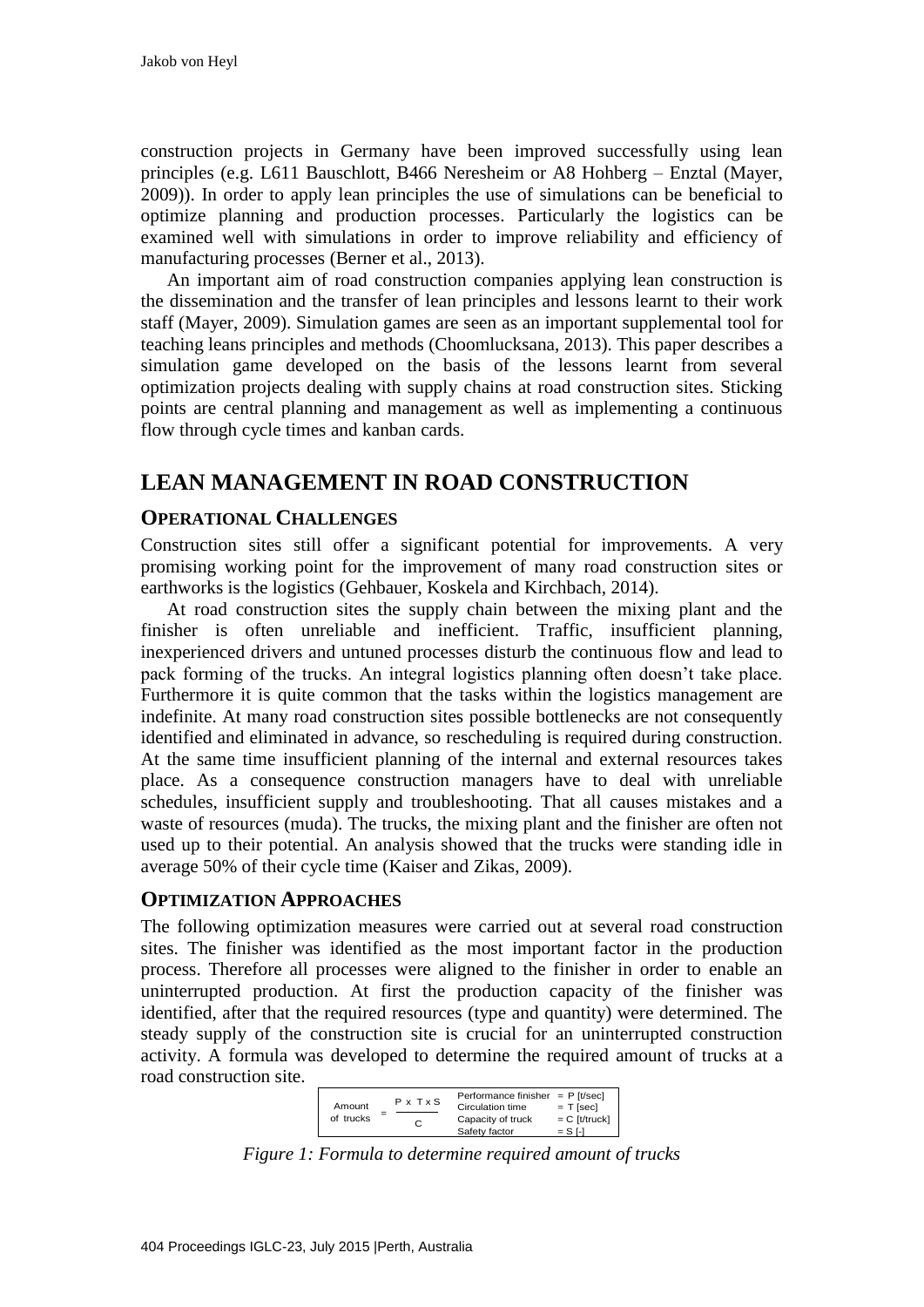construction projects in Germany have been improved successfully using lean principles (e.g. L611 Bauschlott, B466 Neresheim or A8 Hohberg – Enztal (Mayer, 2009)). In order to apply lean principles the use of simulations can be beneficial to optimize planning and production processes. Particularly the logistics can be examined well with simulations in order to improve reliability and efficiency of manufacturing processes (Berner et al., 2013).

An important aim of road construction companies applying lean construction is the dissemination and the transfer of lean principles and lessons learnt to their work staff (Mayer, 2009). Simulation games are seen as an important supplemental tool for teaching leans principles and methods (Choomlucksana, 2013). This paper describes a simulation game developed on the basis of the lessons learnt from several optimization projects dealing with supply chains at road construction sites. Sticking points are central planning and management as well as implementing a continuous flow through cycle times and kanban cards.

# **LEAN MANAGEMENT IN ROAD CONSTRUCTION**

#### **OPERATIONAL CHALLENGES**

Construction sites still offer a significant potential for improvements. A very promising working point for the improvement of many road construction sites or earthworks is the logistics (Gehbauer, Koskela and Kirchbach, 2014).

At road construction sites the supply chain between the mixing plant and the finisher is often unreliable and inefficient. Traffic, insufficient planning, inexperienced drivers and untuned processes disturb the continuous flow and lead to pack forming of the trucks. An integral logistics planning often doesn't take place. Furthermore it is quite common that the tasks within the logistics management are indefinite. At many road construction sites possible bottlenecks are not consequently identified and eliminated in advance, so rescheduling is required during construction. At the same time insufficient planning of the internal and external resources takes place. As a consequence construction managers have to deal with unreliable schedules, insufficient supply and troubleshooting. That all causes mistakes and a waste of resources (muda). The trucks, the mixing plant and the finisher are often not used up to their potential. An analysis showed that the trucks were standing idle in average 50% of their cycle time (Kaiser and Zikas, 2009).

#### **OPTIMIZATION APPROACHES**

The following optimization measures were carried out at several road construction sites. The finisher was identified as the most important factor in the production process. Therefore all processes were aligned to the finisher in order to enable an uninterrupted production. At first the production capacity of the finisher was identified, after that the required resources (type and quantity) were determined. The steady supply of the construction site is crucial for an uninterrupted construction activity. A formula was developed to determine the required amount of trucks at a road construction site.

| P x T x S<br>Amount<br>of trucks<br>C | Performance finisher $=$ P [t/sec]<br>Circulation time<br>Capacity of truck<br>Safety factor | $= T$ [sec]<br>$= C$ [t/truck]<br>$=$ S I-I |
|---------------------------------------|----------------------------------------------------------------------------------------------|---------------------------------------------|
|---------------------------------------|----------------------------------------------------------------------------------------------|---------------------------------------------|

*Figure 1: Formula to determine required amount of trucks*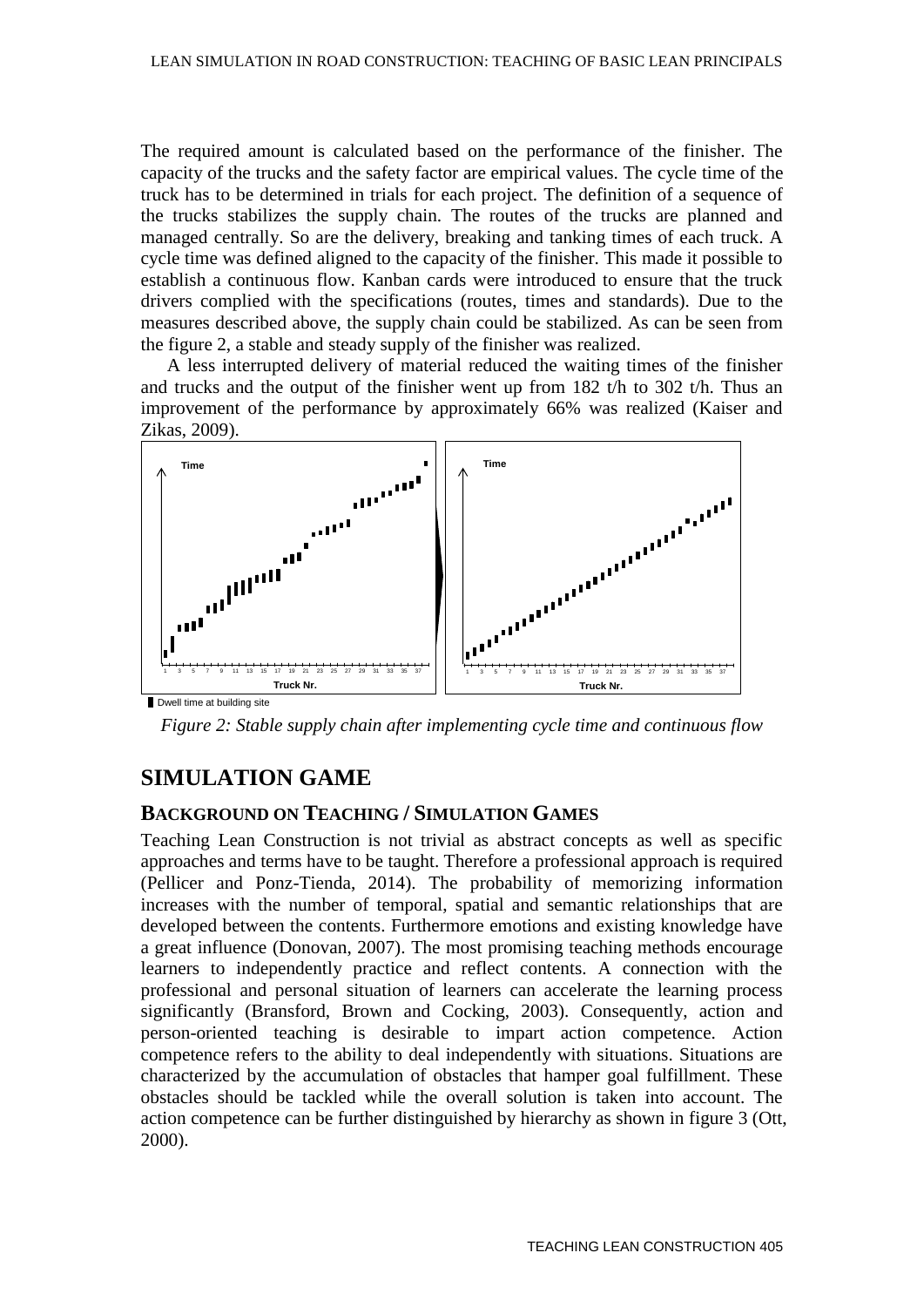The required amount is calculated based on the performance of the finisher. The capacity of the trucks and the safety factor are empirical values. The cycle time of the truck has to be determined in trials for each project. The definition of a sequence of the trucks stabilizes the supply chain. The routes of the trucks are planned and managed centrally. So are the delivery, breaking and tanking times of each truck. A cycle time was defined aligned to the capacity of the finisher. This made it possible to establish a continuous flow. Kanban cards were introduced to ensure that the truck drivers complied with the specifications (routes, times and standards). Due to the measures described above, the supply chain could be stabilized. As can be seen from the figure 2, a stable and steady supply of the finisher was realized.

A less interrupted delivery of material reduced the waiting times of the finisher and trucks and the output of the finisher went up from  $182$  t/h to  $302$  t/h. Thus an improvement of the performance by approximately 66% was realized (Kaiser and Zikas, 2009).



*Figure 2: Stable supply chain after implementing cycle time and continuous flow*

# **SIMULATION GAME**

#### **BACKGROUND ON TEACHING / SIMULATION GAMES**

Teaching Lean Construction is not trivial as abstract concepts as well as specific approaches and terms have to be taught. Therefore a professional approach is required (Pellicer and Ponz-Tienda, 2014). The probability of memorizing information increases with the number of temporal, spatial and semantic relationships that are developed between the contents. Furthermore emotions and existing knowledge have a great influence (Donovan, 2007). The most promising teaching methods encourage learners to independently practice and reflect contents. A connection with the professional and personal situation of learners can accelerate the learning process significantly (Bransford, Brown and Cocking, 2003). Consequently, action and person-oriented teaching is desirable to impart action competence. Action competence refers to the ability to deal independently with situations. Situations are characterized by the accumulation of obstacles that hamper goal fulfillment. These obstacles should be tackled while the overall solution is taken into account. The action competence can be further distinguished by hierarchy as shown in figure 3 (Ott, 2000).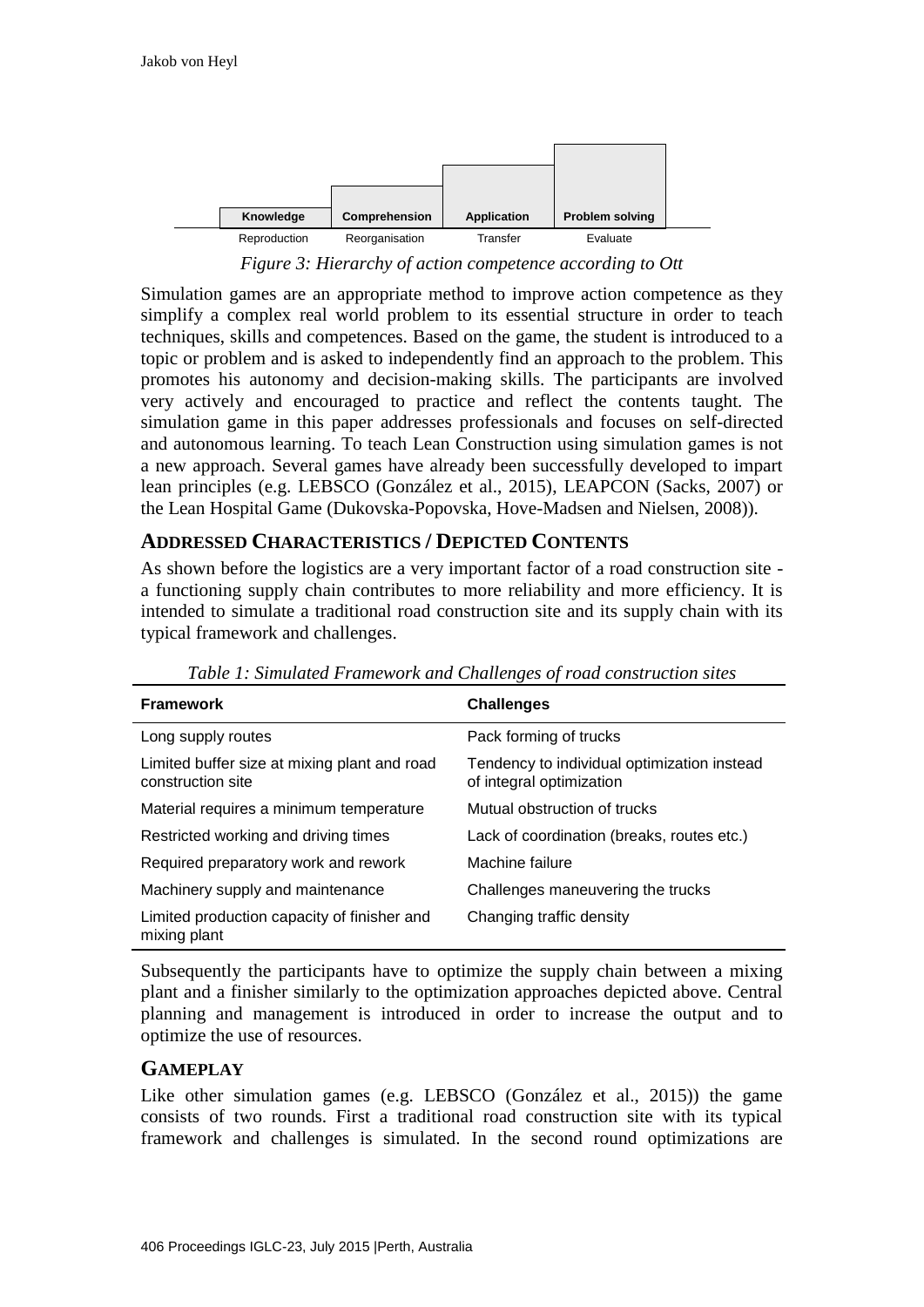

*Figure 3: Hierarchy of action competence according to Ott*

Simulation games are an appropriate method to improve action competence as they simplify a complex real world problem to its essential structure in order to teach techniques, skills and competences. Based on the game, the student is introduced to a topic or problem and is asked to independently find an approach to the problem. This promotes his autonomy and decision-making skills. The participants are involved very actively and encouraged to practice and reflect the contents taught. The simulation game in this paper addresses professionals and focuses on self-directed and autonomous learning. To teach Lean Construction using simulation games is not a new approach. Several games have already been successfully developed to impart lean principles (e.g. LEBSCO (González et al., 2015), LEAPCON (Sacks, 2007) or the Lean Hospital Game (Dukovska-Popovska, Hove-Madsen and Nielsen, 2008)).

## **ADDRESSED CHARACTERISTICS / DEPICTED CONTENTS**

As shown before the logistics are a very important factor of a road construction site a functioning supply chain contributes to more reliability and more efficiency. It is intended to simulate a traditional road construction site and its supply chain with its typical framework and challenges.

| <b>Framework</b>                                                  | <b>Challenges</b>                                                       |
|-------------------------------------------------------------------|-------------------------------------------------------------------------|
| Long supply routes                                                | Pack forming of trucks                                                  |
| Limited buffer size at mixing plant and road<br>construction site | Tendency to individual optimization instead<br>of integral optimization |
| Material requires a minimum temperature                           | Mutual obstruction of trucks                                            |
| Restricted working and driving times                              | Lack of coordination (breaks, routes etc.)                              |
| Required preparatory work and rework                              | Machine failure                                                         |
| Machinery supply and maintenance                                  | Challenges maneuvering the trucks                                       |
| Limited production capacity of finisher and<br>mixing plant       | Changing traffic density                                                |

*Table 1: Simulated Framework and Challenges of road construction sites*

Subsequently the participants have to optimize the supply chain between a mixing plant and a finisher similarly to the optimization approaches depicted above. Central planning and management is introduced in order to increase the output and to optimize the use of resources.

# **GAMEPLAY**

Like other simulation games (e.g. LEBSCO (González et al., 2015)) the game consists of two rounds. First a traditional road construction site with its typical framework and challenges is simulated. In the second round optimizations are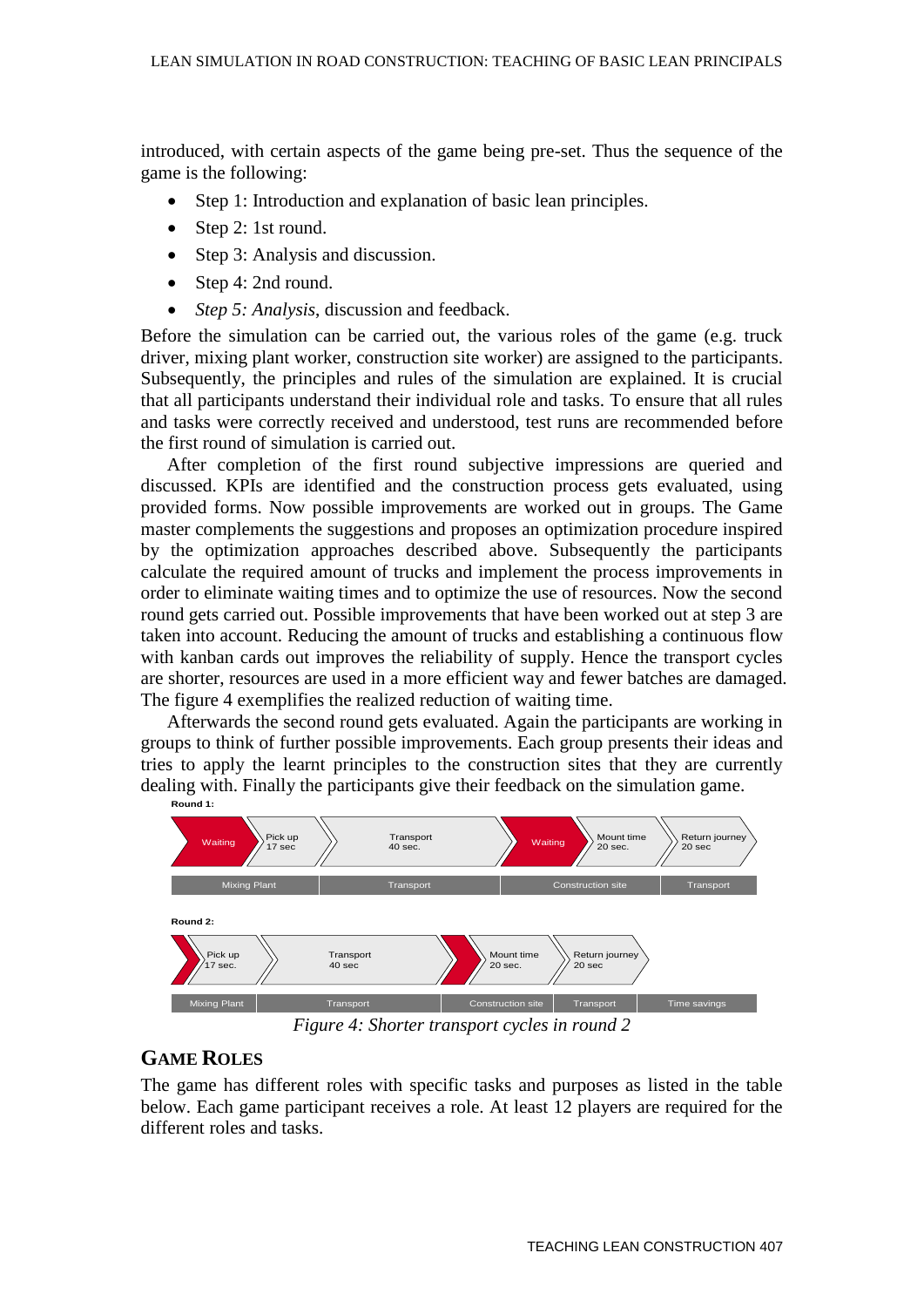introduced, with certain aspects of the game being pre-set. Thus the sequence of the game is the following:

- Step 1: Introduction and explanation of basic lean principles.
- Step 2: 1st round.
- Step 3: Analysis and discussion.
- Step 4: 2nd round.
- *Step 5: Analysis*, discussion and feedback.

Before the simulation can be carried out, the various roles of the game (e.g. truck driver, mixing plant worker, construction site worker) are assigned to the participants. Subsequently, the principles and rules of the simulation are explained. It is crucial that all participants understand their individual role and tasks. To ensure that all rules and tasks were correctly received and understood, test runs are recommended before the first round of simulation is carried out.

After completion of the first round subjective impressions are queried and discussed. KPIs are identified and the construction process gets evaluated, using provided forms. Now possible improvements are worked out in groups. The Game master complements the suggestions and proposes an optimization procedure inspired by the optimization approaches described above. Subsequently the participants calculate the required amount of trucks and implement the process improvements in order to eliminate waiting times and to optimize the use of resources. Now the second round gets carried out. Possible improvements that have been worked out at step 3 are taken into account. Reducing the amount of trucks and establishing a continuous flow with kanban cards out improves the reliability of supply. Hence the transport cycles are shorter, resources are used in a more efficient way and fewer batches are damaged. The figure 4 exemplifies the realized reduction of waiting time.

Afterwards the second round gets evaluated. Again the participants are working in groups to think of further possible improvements. Each group presents their ideas and tries to apply the learnt principles to the construction sites that they are currently dealing with. Finally the participants give their feedback on the simulation game. **Round 1:**



*Figure 4: Shorter transport cycles in round 2*

# **GAME ROLES**

The game has different roles with specific tasks and purposes as listed in the table below. Each game participant receives a role. At least 12 players are required for the different roles and tasks.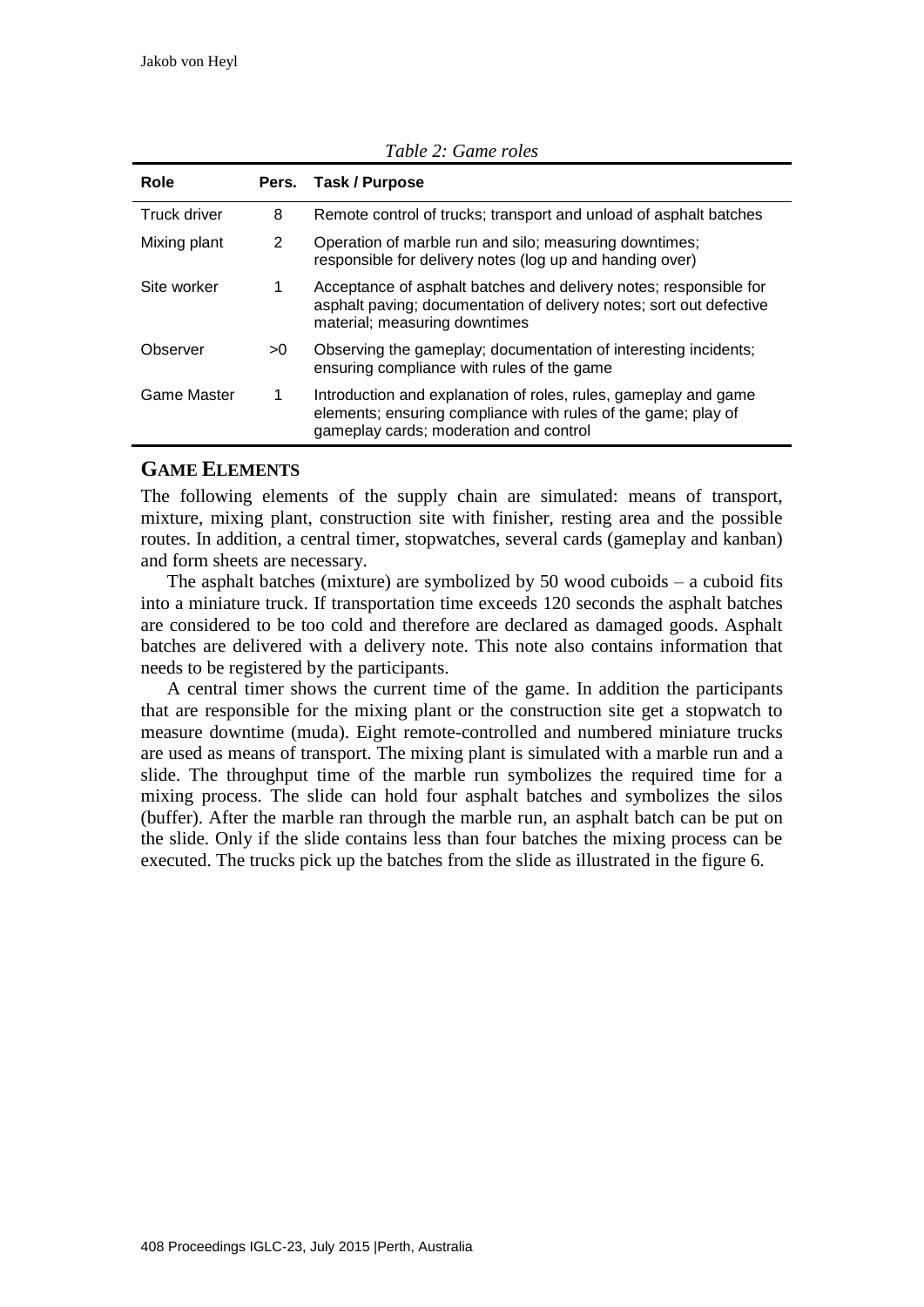|    | Pers. Task / Purpose                                                                                                                                                       |
|----|----------------------------------------------------------------------------------------------------------------------------------------------------------------------------|
| 8  | Remote control of trucks; transport and unload of asphalt batches                                                                                                          |
| 2  | Operation of marble run and silo; measuring downtimes;<br>responsible for delivery notes (log up and handing over)                                                         |
| 1  | Acceptance of asphalt batches and delivery notes; responsible for<br>asphalt paving; documentation of delivery notes; sort out defective<br>material; measuring downtimes  |
| >0 | Observing the gameplay; documentation of interesting incidents;<br>ensuring compliance with rules of the game                                                              |
| 1  | Introduction and explanation of roles, rules, gameplay and game<br>elements; ensuring compliance with rules of the game; play of<br>gameplay cards; moderation and control |
|    |                                                                                                                                                                            |

*Table 2: Game roles*

## **GAME ELEMENTS**

The following elements of the supply chain are simulated: means of transport, mixture, mixing plant, construction site with finisher, resting area and the possible routes. In addition, a central timer, stopwatches, several cards (gameplay and kanban) and form sheets are necessary.

The asphalt batches (mixture) are symbolized by 50 wood cuboids  $-$  a cuboid fits into a miniature truck. If transportation time exceeds 120 seconds the asphalt batches are considered to be too cold and therefore are declared as damaged goods. Asphalt batches are delivered with a delivery note. This note also contains information that needs to be registered by the participants.

A central timer shows the current time of the game. In addition the participants that are responsible for the mixing plant or the construction site get a stopwatch to measure downtime (muda). Eight remote-controlled and numbered miniature trucks are used as means of transport. The mixing plant is simulated with a marble run and a slide. The throughput time of the marble run symbolizes the required time for a mixing process. The slide can hold four asphalt batches and symbolizes the silos (buffer). After the marble ran through the marble run, an asphalt batch can be put on the slide. Only if the slide contains less than four batches the mixing process can be executed. The trucks pick up the batches from the slide as illustrated in the figure 6.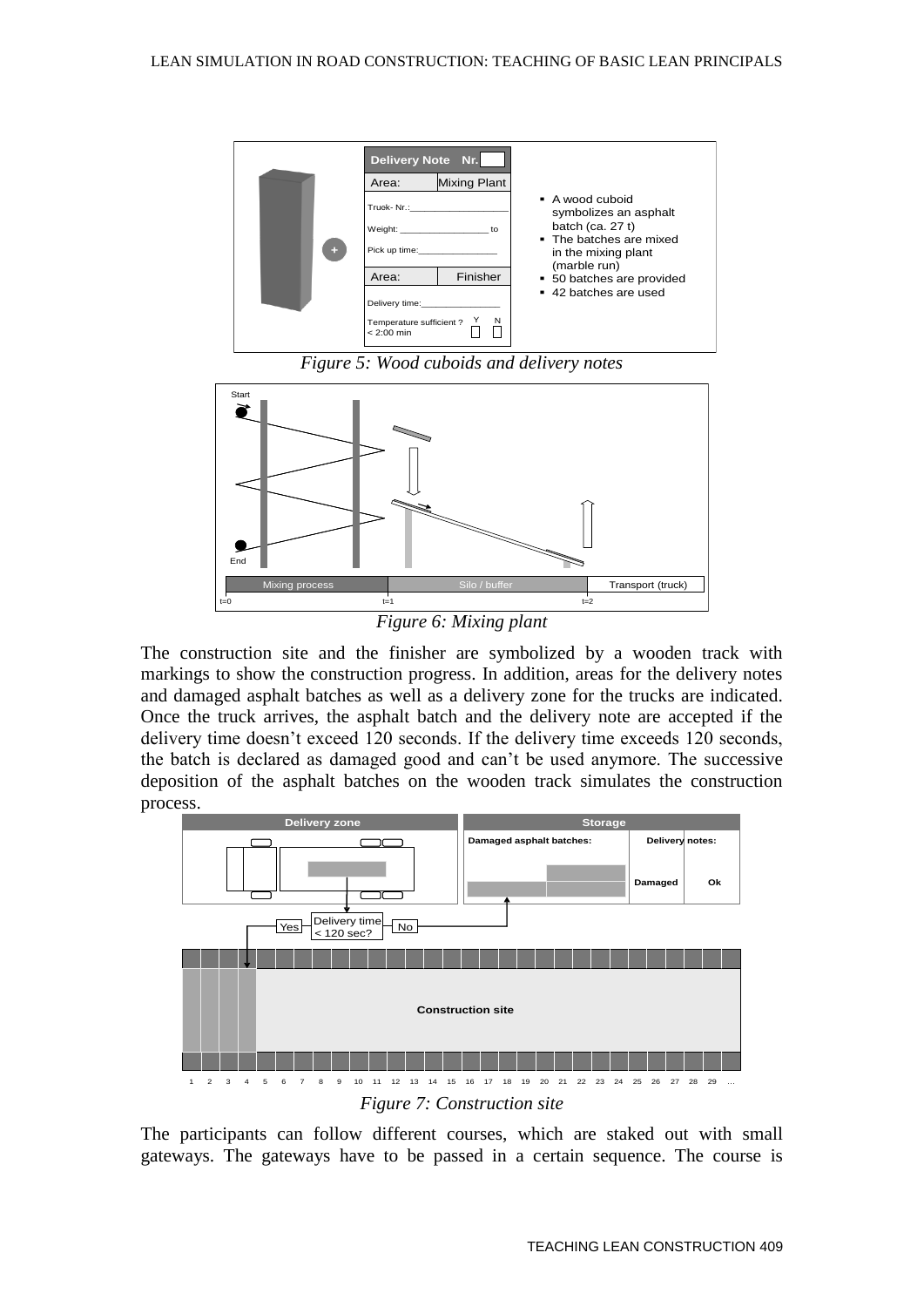

*Figure 5: Wood cuboids and delivery notes*



*Figure 6: Mixing plant*

The construction site and the finisher are symbolized by a wooden track with markings to show the construction progress. In addition, areas for the delivery notes and damaged asphalt batches as well as a delivery zone for the trucks are indicated. Once the truck arrives, the asphalt batch and the delivery note are accepted if the delivery time doesn't exceed 120 seconds. If the delivery time exceeds 120 seconds, the batch is declared as damaged good and can't be used anymore. The successive deposition of the asphalt batches on the wooden track simulates the construction process.



The participants can follow different courses, which are staked out with small gateways. The gateways have to be passed in a certain sequence. The course is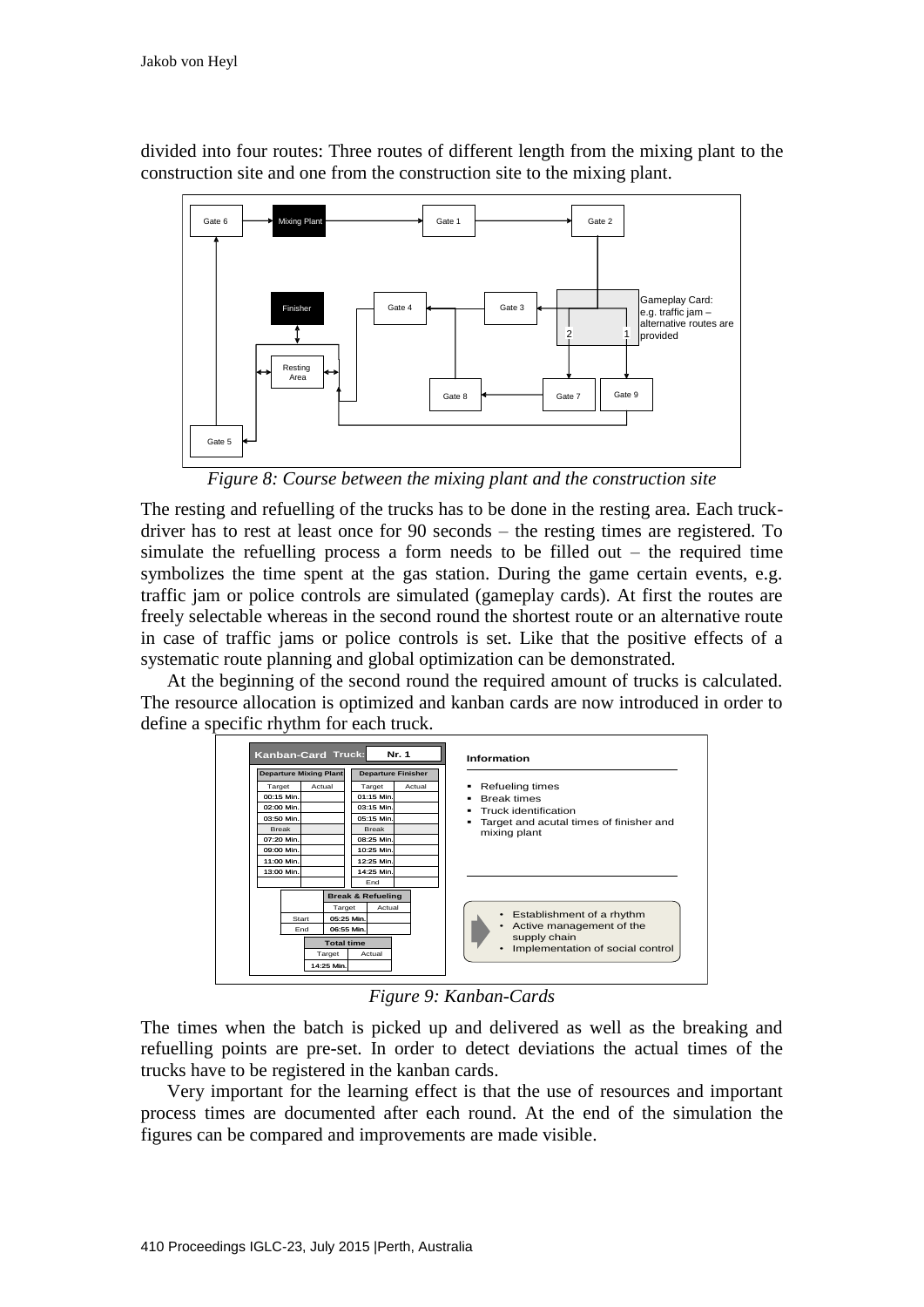divided into four routes: Three routes of different length from the mixing plant to the construction site and one from the construction site to the mixing plant.



*Figure 8: Course between the mixing plant and the construction site*

The resting and refuelling of the trucks has to be done in the resting area. Each truckdriver has to rest at least once for 90 seconds – the resting times are registered. To simulate the refuelling process a form needs to be filled out – the required time symbolizes the time spent at the gas station. During the game certain events, e.g. traffic jam or police controls are simulated (gameplay cards). At first the routes are freely selectable whereas in the second round the shortest route or an alternative route in case of traffic jams or police controls is set. Like that the positive effects of a systematic route planning and global optimization can be demonstrated.

At the beginning of the second round the required amount of trucks is calculated. The resource allocation is optimized and kanban cards are now introduced in order to define a specific rhythm for each truck.



*Figure 9: Kanban-Cards*

The times when the batch is picked up and delivered as well as the breaking and refuelling points are pre-set. In order to detect deviations the actual times of the trucks have to be registered in the kanban cards.

Very important for the learning effect is that the use of resources and important process times are documented after each round. At the end of the simulation the figures can be compared and improvements are made visible.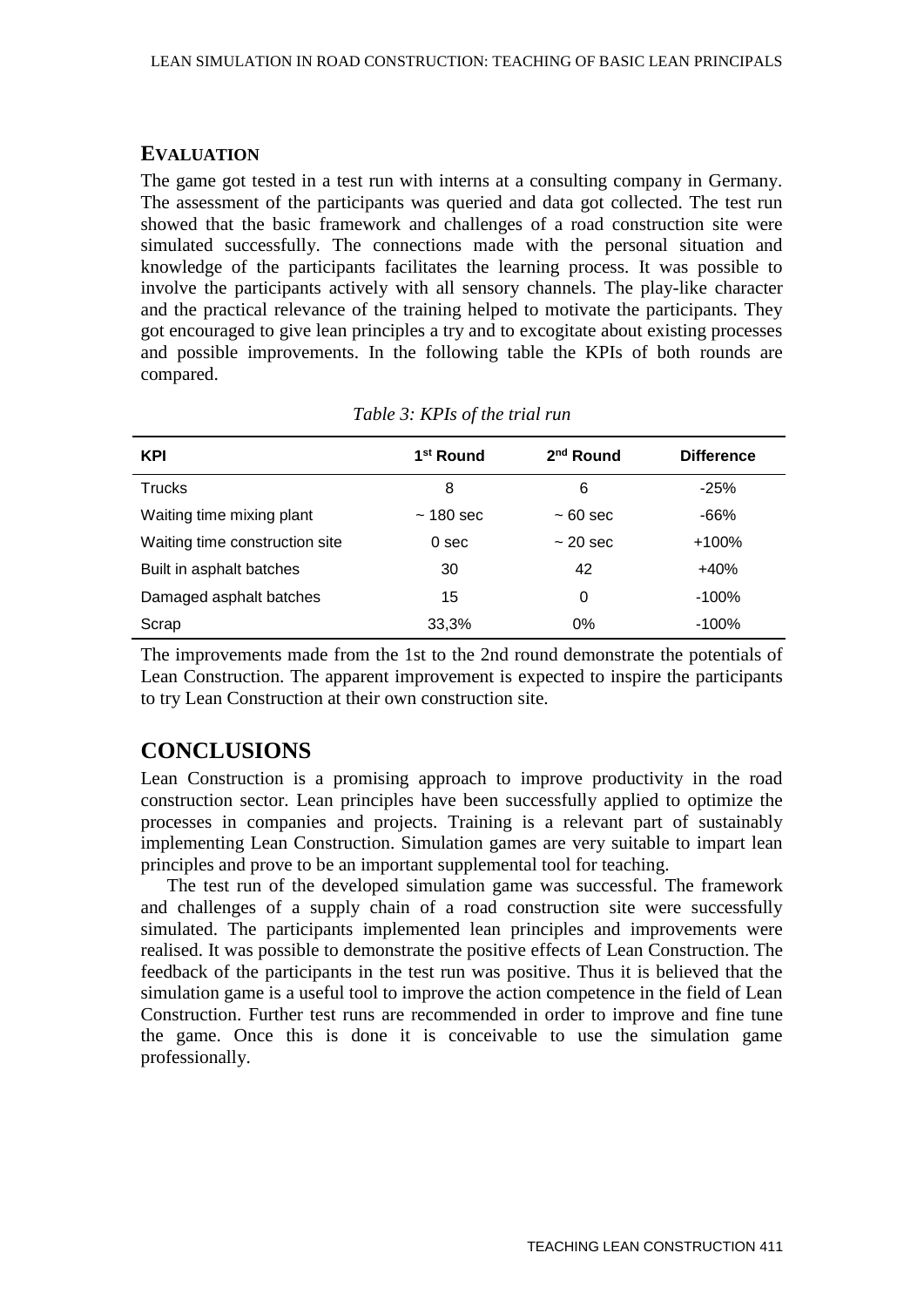#### **EVALUATION**

The game got tested in a test run with interns at a consulting company in Germany. The assessment of the participants was queried and data got collected. The test run showed that the basic framework and challenges of a road construction site were simulated successfully. The connections made with the personal situation and knowledge of the participants facilitates the learning process. It was possible to involve the participants actively with all sensory channels. The play-like character and the practical relevance of the training helped to motivate the participants. They got encouraged to give lean principles a try and to excogitate about existing processes and possible improvements. In the following table the KPIs of both rounds are compared.

| <b>KPI</b>                     | 1 <sup>st</sup> Round | $2nd$ Round   | <b>Difference</b> |
|--------------------------------|-----------------------|---------------|-------------------|
| <b>Trucks</b>                  | 8                     | 6             | $-25%$            |
| Waiting time mixing plant      | $~180$ sec            | $~1$ 60 sec   | $-66%$            |
| Waiting time construction site | 0 <sub>sec</sub>      | $\sim$ 20 sec | $+100%$           |
| Built in asphalt batches       | 30                    | 42            | $+40%$            |
| Damaged asphalt batches        | 15                    | 0             | $-100%$           |
| Scrap                          | 33,3%                 | $0\%$         | $-100%$           |

*Table 3: KPIs of the trial run*

The improvements made from the 1st to the 2nd round demonstrate the potentials of Lean Construction. The apparent improvement is expected to inspire the participants to try Lean Construction at their own construction site.

# **CONCLUSIONS**

Lean Construction is a promising approach to improve productivity in the road construction sector. Lean principles have been successfully applied to optimize the processes in companies and projects. Training is a relevant part of sustainably implementing Lean Construction. Simulation games are very suitable to impart lean principles and prove to be an important supplemental tool for teaching.

The test run of the developed simulation game was successful. The framework and challenges of a supply chain of a road construction site were successfully simulated. The participants implemented lean principles and improvements were realised. It was possible to demonstrate the positive effects of Lean Construction. The feedback of the participants in the test run was positive. Thus it is believed that the simulation game is a useful tool to improve the action competence in the field of Lean Construction. Further test runs are recommended in order to improve and fine tune the game. Once this is done it is conceivable to use the simulation game professionally.